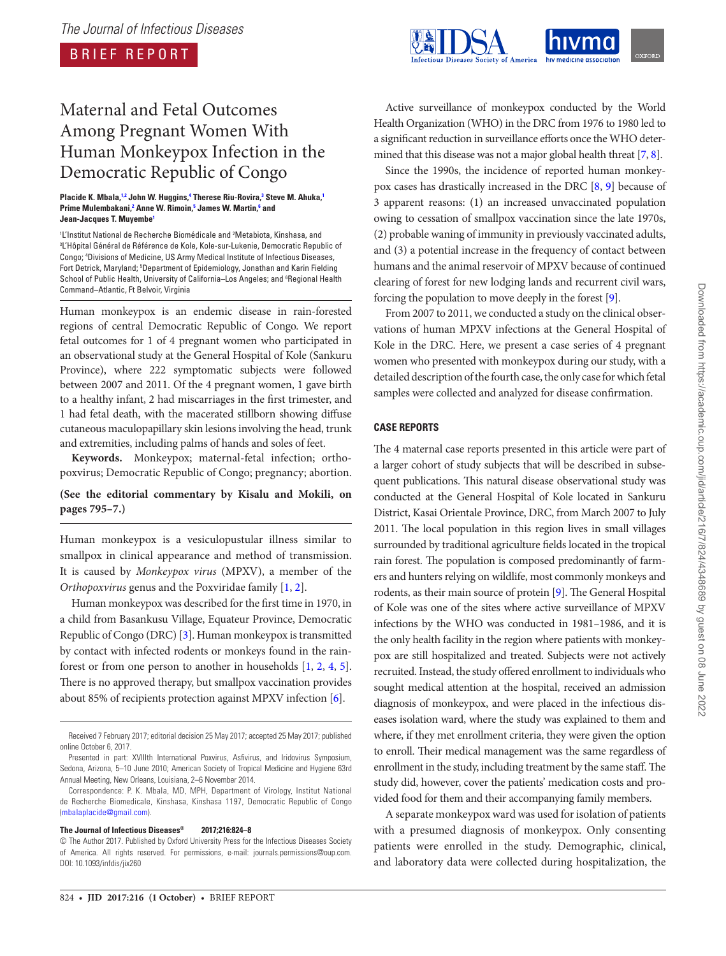BRIEF REPORT



# Maternal and Fetal Outcomes Among Pregnant Women With Human Monkeypox Infection in the Democratic Republic of Congo

#### **Placide K. Mbala,1,2 John W. Huggins,4 Therese Riu-Rovira,3 Steve M. Ahuka,1** Prime Mulembakani,<sup>2</sup> Anne W. Rimoin,<sup>5</sup> James W. Martin,<sup>6</sup> and **Jean-Jacques T. Muyembe1**

lL'Institut National de Recherche Biomédicale and ?Metabiota, Kinshasa, and<br>3 'Hônital Général de Béférence de Kole, Kole-sur-Lukenie, Democratic Benuk <sup>3</sup> L'Hôpital Général de Référence de Kole, Kole-sur-Lukenie, Democratic Republic of Congo; 4 Divisions of Medicine, US Army Medical Institute of Infectious Diseases, Fort Detrick, Maryland; <sup>s</sup>Department of Epidemiology, Jonathan and Karin Fielding School of Public Health, University of California–Los Angeles; and <sup>e</sup>Regional Health Command–Atlantic, Ft Belvoir, Virginia

Human monkeypox is an endemic disease in rain-forested regions of central Democratic Republic of Congo. We report fetal outcomes for 1 of 4 pregnant women who participated in an observational study at the General Hospital of Kole (Sankuru Province), where 222 symptomatic subjects were followed between 2007 and 2011. Of the 4 pregnant women, 1 gave birth to a healthy infant, 2 had miscarriages in the first trimester, and 1 had fetal death, with the macerated stillborn showing diffuse cutaneous maculopapillary skin lesions involving the head, trunk and extremities, including palms of hands and soles of feet.

**Keywords.** Monkeypox; maternal-fetal infection; orthopoxvirus; Democratic Republic of Congo; pregnancy; abortion.

# **(See the editorial commentary by Kisalu and Mokili, on pages 795–7.)**

Human monkeypox is a vesiculopustular illness similar to smallpox in clinical appearance and method of transmission. It is caused by *Monkeypox virus* (MPXV), a member of the *Orthopoxvirus* genus and the Poxviridae family [1, 2].

Human monkeypox was described for the first time in 1970, in a child from Basankusu Village, Equateur Province, Democratic Republic of Congo (DRC) [3]. Human monkeypox is transmitted by contact with infected rodents or monkeys found in the rainforest or from one person to another in households [1, 2, 4, 5]. There is no approved therapy, but smallpox vaccination provides about 85% of recipients protection against MPXV infection [6].

#### **The Journal of Infectious Diseases® 2017;216:824–8**

Since the 1990s, the incidence of reported human monkeypox cases has drastically increased in the DRC [8, 9] because of 3 apparent reasons: (1) an increased unvaccinated population owing to cessation of smallpox vaccination since the late 1970s, (2) probable waning of immunity in previously vaccinated adults, and (3) a potential increase in the frequency of contact between humans and the animal reservoir of MPXV because of continued clearing of forest for new lodging lands and recurrent civil wars, forcing the population to move deeply in the forest [9].

From 2007 to 2011, we conducted a study on the clinical observations of human MPXV infections at the General Hospital of Kole in the DRC. Here, we present a case series of 4 pregnant women who presented with monkeypox during our study, with a detailed description of the fourth case, the only case for which fetal samples were collected and analyzed for disease confirmation.

## **CASE REPORTS**

The 4 maternal case reports presented in this article were part of a larger cohort of study subjects that will be described in subsequent publications. This natural disease observational study was conducted at the General Hospital of Kole located in Sankuru District, Kasai Orientale Province, DRC, from March 2007 to July 2011. The local population in this region lives in small villages surrounded by traditional agriculture fields located in the tropical rain forest. The population is composed predominantly of farmers and hunters relying on wildlife, most commonly monkeys and rodents, as their main source of protein [9]. The General Hospital of Kole was one of the sites where active surveillance of MPXV infections by the WHO was conducted in 1981–1986, and it is the only health facility in the region where patients with monkeypox are still hospitalized and treated. Subjects were not actively recruited. Instead, the study offered enrollment to individuals who sought medical attention at the hospital, received an admission diagnosis of monkeypox, and were placed in the infectious diseases isolation ward, where the study was explained to them and where, if they met enrollment criteria, they were given the option to enroll. Their medical management was the same regardless of enrollment in the study, including treatment by the same staff. The study did, however, cover the patients' medication costs and provided food for them and their accompanying family members.

A separate monkeypox ward was used for isolation of patients with a presumed diagnosis of monkeypox. Only consenting patients were enrolled in the study. Demographic, clinical, and laboratory data were collected during hospitalization, the

Received 7 February 2017; editorial decision 25 May 2017; accepted 25 May 2017; published online October 6, 2017.

Presented in part: XVIIIth International Poxvirus, Asfivirus, and Iridovirus Symposium, Sedona, Arizona, 5–10 June 2010; American Society of Tropical Medicine and Hygiene 63rd Annual Meeting, New Orleans, Louisiana, 2–6 November 2014.

Correspondence: P. K. Mbala, MD, MPH, Department of Virology, Institut National de Recherche Biomedicale, Kinshasa, Kinshasa 1197, Democratic Republic of Congo (mbalaplacide@gmail.com).

<sup>©</sup> The Author 2017. Published by Oxford University Press for the Infectious Diseases Society of America. All rights reserved. For permissions, e-mail: journals.permissions@oup.com. DOI: 10.1093/infdis/jix260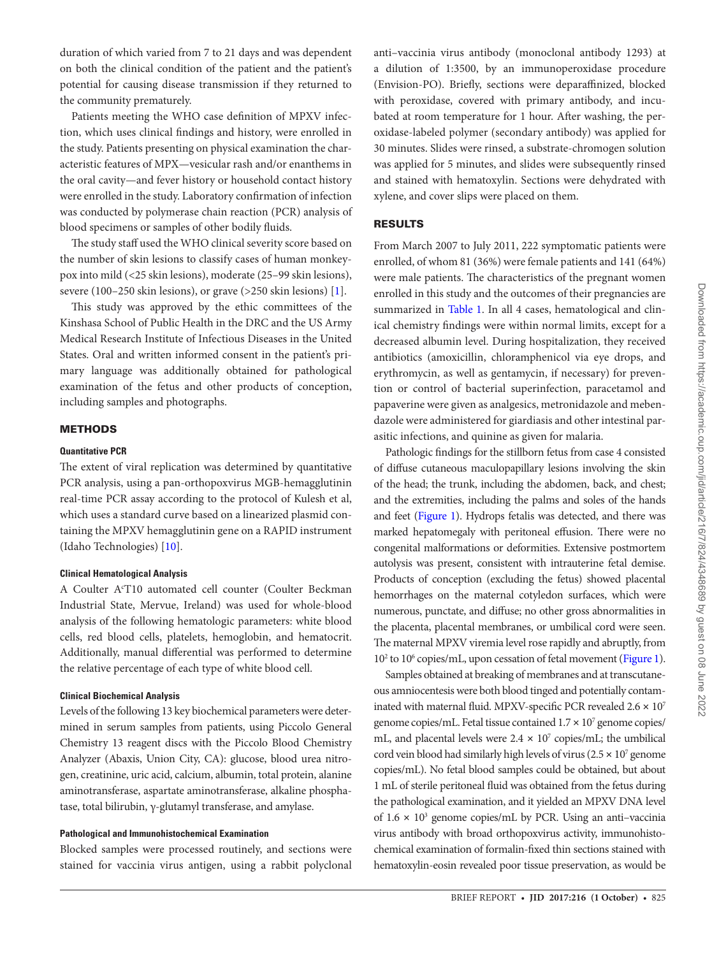duration of which varied from 7 to 21 days and was dependent on both the clinical condition of the patient and the patient's potential for causing disease transmission if they returned to the community prematurely.

Patients meeting the WHO case definition of MPXV infection, which uses clinical findings and history, were enrolled in the study. Patients presenting on physical examination the characteristic features of MPX—vesicular rash and/or enanthems in the oral cavity—and fever history or household contact history were enrolled in the study. Laboratory confirmation of infection was conducted by polymerase chain reaction (PCR) analysis of blood specimens or samples of other bodily fluids.

The study staff used the WHO clinical severity score based on the number of skin lesions to classify cases of human monkeypox into mild (<25 skin lesions), moderate (25–99 skin lesions), severe (100–250 skin lesions), or grave (>250 skin lesions) [1].

This study was approved by the ethic committees of the Kinshasa School of Public Health in the DRC and the US Army Medical Research Institute of Infectious Diseases in the United States. Oral and written informed consent in the patient's primary language was additionally obtained for pathological examination of the fetus and other products of conception, including samples and photographs.

## **METHODS**

#### **Quantitative PCR**

The extent of viral replication was determined by quantitative PCR analysis, using a pan-orthopoxvirus MGB-hemagglutinin real-time PCR assay according to the protocol of Kulesh et al, which uses a standard curve based on a linearized plasmid containing the MPXV hemagglutinin gene on a RAPID instrument (Idaho Technologies) [10].

#### **Clinical Hematological Analysis**

A Coulter A<sup>c</sup>T10 automated cell counter (Coulter Beckman Industrial State, Mervue, Ireland) was used for whole-blood analysis of the following hematologic parameters: white blood cells, red blood cells, platelets, hemoglobin, and hematocrit. Additionally, manual differential was performed to determine the relative percentage of each type of white blood cell.

## **Clinical Biochemical Analysis**

Levels of the following 13 key biochemical parameters were determined in serum samples from patients, using Piccolo General Chemistry 13 reagent discs with the Piccolo Blood Chemistry Analyzer (Abaxis, Union City, CA): glucose, blood urea nitrogen, creatinine, uric acid, calcium, albumin, total protein, alanine aminotransferase, aspartate aminotransferase, alkaline phosphatase, total bilirubin, γ-glutamyl transferase, and amylase.

## **Pathological and Immunohistochemical Examination**

Blocked samples were processed routinely, and sections were stained for vaccinia virus antigen, using a rabbit polyclonal anti–vaccinia virus antibody (monoclonal antibody 1293) at a dilution of 1:3500, by an immunoperoxidase procedure (Envision-PO). Briefly, sections were deparaffinized, blocked with peroxidase, covered with primary antibody, and incubated at room temperature for 1 hour. After washing, the peroxidase-labeled polymer (secondary antibody) was applied for 30 minutes. Slides were rinsed, a substrate-chromogen solution was applied for 5 minutes, and slides were subsequently rinsed and stained with hematoxylin. Sections were dehydrated with xylene, and cover slips were placed on them.

#### RESULTS

From March 2007 to July 2011, 222 symptomatic patients were enrolled, of whom 81 (36%) were female patients and 141 (64%) were male patients. The characteristics of the pregnant women enrolled in this study and the outcomes of their pregnancies are summarized in Table 1. In all 4 cases, hematological and clinical chemistry findings were within normal limits, except for a decreased albumin level. During hospitalization, they received antibiotics (amoxicillin, chloramphenicol via eye drops, and erythromycin, as well as gentamycin, if necessary) for prevention or control of bacterial superinfection, paracetamol and papaverine were given as analgesics, metronidazole and mebendazole were administered for giardiasis and other intestinal parasitic infections, and quinine as given for malaria.

Pathologic findings for the stillborn fetus from case 4 consisted of diffuse cutaneous maculopapillary lesions involving the skin of the head; the trunk, including the abdomen, back, and chest; and the extremities, including the palms and soles of the hands and feet (Figure 1). Hydrops fetalis was detected, and there was marked hepatomegaly with peritoneal effusion. There were no congenital malformations or deformities. Extensive postmortem autolysis was present, consistent with intrauterine fetal demise. Products of conception (excluding the fetus) showed placental hemorrhages on the maternal cotyledon surfaces, which were numerous, punctate, and diffuse; no other gross abnormalities in the placenta, placental membranes, or umbilical cord were seen. The maternal MPXV viremia level rose rapidly and abruptly, from 10<sup>2</sup> to 10<sup>6</sup> copies/mL, upon cessation of fetal movement (Figure 1).

Samples obtained at breaking of membranes and at transcutaneous amniocentesis were both blood tinged and potentially contaminated with maternal fluid. MPXV-specific PCR revealed  $2.6 \times 10^7$ genome copies/mL. Fetal tissue contained  $1.7 \times 10^7$  genome copies/ mL, and placental levels were  $2.4 \times 10^7$  copies/mL; the umbilical cord vein blood had similarly high levels of virus  $(2.5 \times 10^7 \text{ genome})$ copies/mL). No fetal blood samples could be obtained, but about 1 mL of sterile peritoneal fluid was obtained from the fetus during the pathological examination, and it yielded an MPXV DNA level of 1.6 × 10<sup>3</sup> genome copies/mL by PCR. Using an anti-vaccinia virus antibody with broad orthopoxvirus activity, immunohistochemical examination of formalin-fixed thin sections stained with hematoxylin-eosin revealed poor tissue preservation, as would be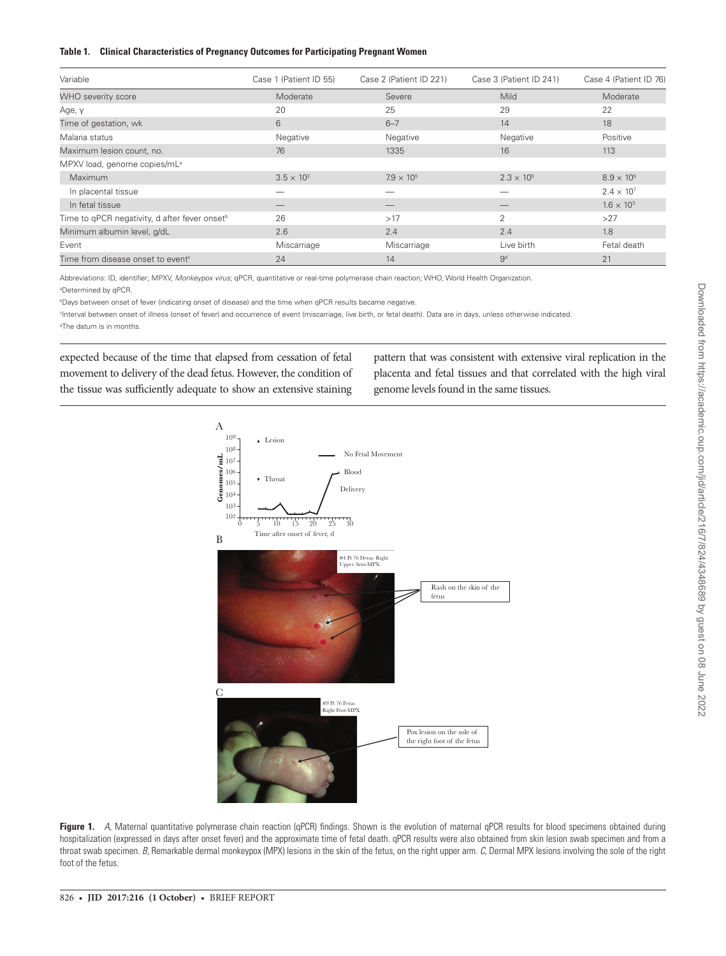#### **Table 1. Clinical Characteristics of Pregnancy Outcomes for Participating Pregnant Women**

|                                                           | Case 1 (Patient ID 55) | Case 2 (Patient ID 221) | Case 3 (Patient ID 241) | Case 4 (Patient ID 76) |
|-----------------------------------------------------------|------------------------|-------------------------|-------------------------|------------------------|
| Variable                                                  |                        |                         |                         |                        |
| <b>WHO</b> severity score                                 | Moderate               | Severe                  | Mild                    | Moderate               |
| Age, y                                                    | 20                     | 25                      | 29                      | 22                     |
| Time of gestation, wk                                     | 6                      | $6 - 7$                 | 14                      | 18                     |
| Malaria status                                            | Negative               | Negative                | Negative                | Positive               |
| Maximum lesion count, no.                                 | 76                     | 1335                    | 16                      | 113                    |
| MPXV load, genome copies/mL <sup>a</sup>                  |                        |                         |                         |                        |
| Maximum                                                   | $3.5 \times 10^{3}$    | $7.9 \times 10^{5}$     | $2.3 \times 10^{5}$     | $8.9 \times 10^{5}$    |
| In placental tissue                                       |                        |                         |                         | $2.4 \times 10^{7}$    |
| In fetal tissue                                           |                        |                         |                         | $1.6 \times 10^{3}$    |
| Time to qPCR negativity, d after fever onset <sup>b</sup> | 26                     | >17                     | $\overline{2}$          | >27                    |
| Minimum albumin level, g/dL                               | 2.6                    | 2.4                     | 2.4                     | 1.8                    |
| Event                                                     | Miscarriage            | Miscarriage             | Live birth              | Fetal death            |
| Time from disease onset to event <sup>c</sup>             | 24                     | 14                      | 9 <sup>d</sup>          | 21                     |

Abbreviations: ID, identifier; MPXV, *Monkeypox virus*; qPCR, quantitative or real-time polymerase chain reaction; WHO, World Health Organization.

a Determined by qPCR.

b Days between onset of fever (indicating onset of disease) and the time when qPCR results became negative.

c Interval between onset of illness (onset of fever) and occurrence of event (miscarriage, live birth, or fetal death). Data are in days, unless otherwise indicated. d The datum is in months.

expected because of the time that elapsed from cessation of fetal movement to delivery of the dead fetus. However, the condition of the tissue was sufficiently adequate to show an extensive staining pattern that was consistent with extensive viral replication in the placenta and fetal tissues and that correlated with the high viral genome levels found in the same tissues.



Figure 1. *A*, Maternal quantitative polymerase chain reaction (qPCR) findings. Shown is the evolution of maternal qPCR results for blood specimens obtained during hospitalization (expressed in days after onset fever) and the approximate time of fetal death. qPCR results were also obtained from skin lesion swab specimen and from a throat swab specimen. *B*, Remarkable dermal monkeypox (MPX) lesions in the skin of the fetus, on the right upper arm. *C*, Dermal MPX lesions involving the sole of the right foot of the fetus.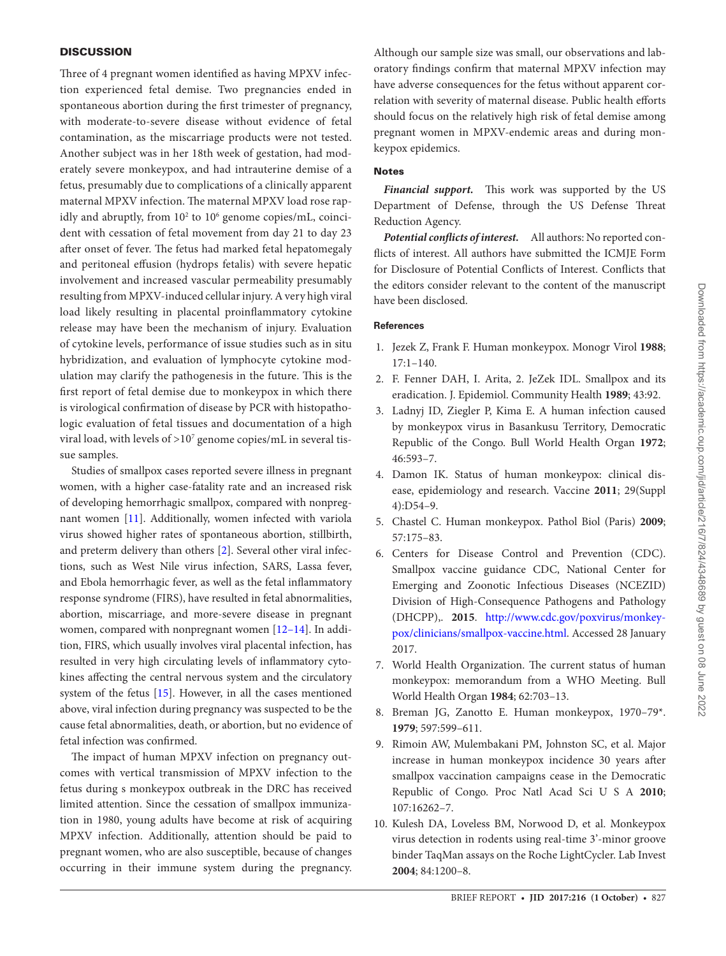## **DISCUSSION**

Three of 4 pregnant women identified as having MPXV infection experienced fetal demise. Two pregnancies ended in spontaneous abortion during the first trimester of pregnancy, with moderate-to-severe disease without evidence of fetal contamination, as the miscarriage products were not tested. Another subject was in her 18th week of gestation, had moderately severe monkeypox, and had intrauterine demise of a fetus, presumably due to complications of a clinically apparent maternal MPXV infection. The maternal MPXV load rose rapidly and abruptly, from 10<sup>2</sup> to 10<sup>6</sup> genome copies/mL, coincident with cessation of fetal movement from day 21 to day 23 after onset of fever. The fetus had marked fetal hepatomegaly and peritoneal effusion (hydrops fetalis) with severe hepatic involvement and increased vascular permeability presumably resulting from MPXV-induced cellular injury. A very high viral load likely resulting in placental proinflammatory cytokine release may have been the mechanism of injury. Evaluation of cytokine levels, performance of issue studies such as in situ hybridization, and evaluation of lymphocyte cytokine modulation may clarify the pathogenesis in the future. This is the first report of fetal demise due to monkeypox in which there is virological confirmation of disease by PCR with histopathologic evaluation of fetal tissues and documentation of a high viral load, with levels of  $>$ 10 $^7$  genome copies/mL in several tissue samples.

Studies of smallpox cases reported severe illness in pregnant women, with a higher case-fatality rate and an increased risk of developing hemorrhagic smallpox, compared with nonpregnant women [11]. Additionally, women infected with variola virus showed higher rates of spontaneous abortion, stillbirth, and preterm delivery than others [2]. Several other viral infections, such as West Nile virus infection, SARS, Lassa fever, and Ebola hemorrhagic fever, as well as the fetal inflammatory response syndrome (FIRS), have resulted in fetal abnormalities, abortion, miscarriage, and more-severe disease in pregnant women, compared with nonpregnant women [12–14]. In addition, FIRS, which usually involves viral placental infection, has resulted in very high circulating levels of inflammatory cytokines affecting the central nervous system and the circulatory system of the fetus [15]. However, in all the cases mentioned above, viral infection during pregnancy was suspected to be the cause fetal abnormalities, death, or abortion, but no evidence of fetal infection was confirmed.

The impact of human MPXV infection on pregnancy outcomes with vertical transmission of MPXV infection to the fetus during s monkeypox outbreak in the DRC has received limited attention. Since the cessation of smallpox immunization in 1980, young adults have become at risk of acquiring MPXV infection. Additionally, attention should be paid to pregnant women, who are also susceptible, because of changes occurring in their immune system during the pregnancy. Although our sample size was small, our observations and laboratory findings confirm that maternal MPXV infection may have adverse consequences for the fetus without apparent correlation with severity of maternal disease. Public health efforts should focus on the relatively high risk of fetal demise among pregnant women in MPXV-endemic areas and during monkeypox epidemics.

## Notes

*Financial support.* This work was supported by the US Department of Defense, through the US Defense Threat Reduction Agency.

*Potential conflicts of interest.* All authors: No reported conflicts of interest. All authors have submitted the ICMJE Form for Disclosure of Potential Conflicts of Interest. Conflicts that the editors consider relevant to the content of the manuscript have been disclosed.

# **References**

- 1. Jezek Z, Frank F. Human monkeypox. Monogr Virol **1988**; 17:1–140.
- 2. F. Fenner DAH, I. Arita, 2. JeZek IDL. Smallpox and its eradication. J. Epidemiol. Community Health **1989**; 43:92.
- 3. Ladnyj ID, Ziegler P, Kima E. A human infection caused by monkeypox virus in Basankusu Territory, Democratic Republic of the Congo. Bull World Health Organ **1972**; 46:593–7.
- 4. Damon IK. Status of human monkeypox: clinical disease, epidemiology and research. Vaccine **2011**; 29(Suppl 4):D54–9.
- 5. Chastel C. Human monkeypox. Pathol Biol (Paris) **2009**; 57:175–83.
- 6. Centers for Disease Control and Prevention (CDC). Smallpox vaccine guidance CDC, National Center for Emerging and Zoonotic Infectious Diseases (NCEZID) Division of High-Consequence Pathogens and Pathology (DHCPP),. **2015**. http://www.cdc.gov/poxvirus/monkeypox/clinicians/smallpox-vaccine.html. Accessed 28 January 2017.
- 7. World Health Organization. The current status of human monkeypox: memorandum from a WHO Meeting. Bull World Health Organ **1984**; 62:703–13.
- 8. Breman JG, Zanotto E. Human monkeypox, 1970–79\*. **1979**; 597:599–611.
- 9. Rimoin AW, Mulembakani PM, Johnston SC, et al. Major increase in human monkeypox incidence 30 years after smallpox vaccination campaigns cease in the Democratic Republic of Congo. Proc Natl Acad Sci U S A **2010**; 107:16262–7.
- 10. Kulesh DA, Loveless BM, Norwood D, et al. Monkeypox virus detection in rodents using real-time 3'-minor groove binder TaqMan assays on the Roche LightCycler. Lab Invest **2004**; 84:1200–8.